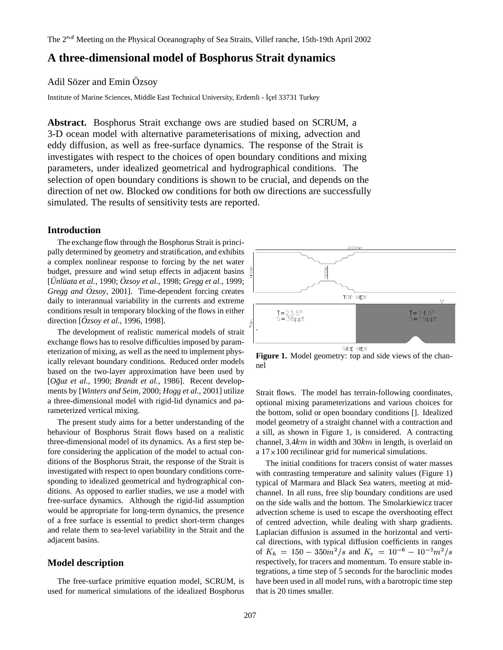# **A three-dimensional model of Bosphorus Strait dynamics**

# Adil Sözer and Emin Özsov

Institute of Marine Sciences, Middle East Technical University, Erdemli - İçel 33731 Turkey

**Abstract.** Bosphorus Strait exchange ows are studied based on SCRUM, a 3-D ocean model with alternative parameterisations of mixing, advection and eddy diffusion, as well as free-surface dynamics. The response of the Strait is investigates with respect to the choices of open boundary conditions and mixing parameters, under idealized geometrical and hydrographical conditions. The selection of open boundary conditions is shown to be crucial, and depends on the direction of net ow. Blocked ow conditions for both ow directions are successfully simulated. The results of sensitivity tests are reported.

# **Introduction**

The exchange flow through the Bosphorus Strait is principally determined by geometry and stratification, and exhibits a complex nonlinear response to forcing by the net water budget, pressure and wind setup effects in adjacent basins [*Unl ¨ uata ¨ et al.*, 1990; *Ozsoy ¨ et al.*, 1998; *Gregg et al.*, 1999; *Gregg and*  $\ddot{O}zsoy$ *, 2001].* Time-dependent forcing creates daily to interannual variability in the currents and extreme conditions result in temporary blocking of the flows in either direction [ $\ddot{O}zsoy$  *et al.*, 1996, 1998].

The development of realistic numerical models of strait exchange flows has to resolve difficulties imposed by parameterization of mixing, as well as the need to implement physically relevant boundary conditions. Reduced order models based on the two-layer approximation have been used by [*Oguz ˘ et al.*, 1990; *Brandt et al.*, 1986]. Recent developments by [*Winters and Seim*, 2000; *Hogg et al.*, 2001] utilize a three-dimensional model with rigid-lid dynamics and parameterized vertical mixing.

The present study aims for a better understanding of the behaviour of Bosphorus Strait flows based on a realistic three-dimensional model of its dynamics. As a first step before considering the application of the model to actual conditions of the Bosphorus Strait, the response of the Strait is investigated with respect to open boundary conditions corresponding to idealized geometrical and hydrographical conditions. As opposed to earlier studies, we use a model with free-surface dynamics. Although the rigid-lid assumption would be appropriate for long-term dynamics, the presence of a free surface is essential to predict short-term changes and relate them to sea-level variability in the Strait and the adjacent basins.

### **Model description**

The free-surface primitive equation model, SCRUM, is used for numerical simulations of the idealized Bosphorus



**Figure 1.** Model geometry: top and side views of the channel

Strait flows. The model has terrain-following coordinates, optional mixing parameterizations and various choices for the bottom, solid or open boundary conditions []. Idealized model geometry of a straight channel with a contraction and a sill, as shown in Figure 1, is considered. A contracting channel,  $3.4 km$  in width and  $30 km$  in length, is overlaid on a  $17 \times 100$  rectilinear grid for numerical simulations.

The initial conditions for tracers consist of water masses with contrasting temperature and salinity values (Figure 1) typical of Marmara and Black Sea waters, meeting at midchannel. In all runs, free slip boundary conditions are used on the side walls and the bottom. The Smolarkiewicz tracer advection scheme is used to escape the overshooting effect of centred advection, while dealing with sharp gradients. Laplacian diffusion is assumed in the horizontal and vertical directions, with typical diffusion coefficients in ranges of  $K_h = 150 - 350 m^2/s$  and  $K_v = 10^{-6} - 10^{-3} m^2/s$ respectively, for tracers and momentum. To ensure stable integrations, a time step of 5 seconds for the baroclinic modes have been used in all model runs, with a barotropic time step that is 20 times smaller.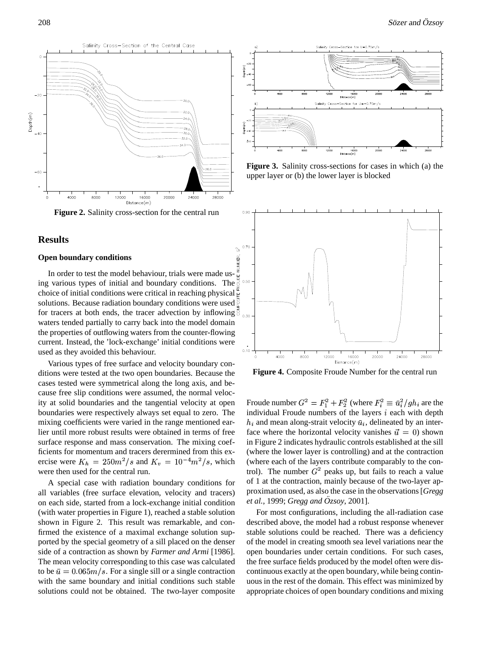

**Figure 2.** Salinity cross-section for the central run

## **Results**

#### **Open boundary conditions**

NUMBER, In order to test the model behaviour, trials were made using various types of initial and boundary conditions. The choice of initial conditions were critical in reaching physical solutions. Because radiation boundary conditions were used for tracers at both ends, the tracer advection by inflowing  $\overline{S}_{0.30}$ waters tended partially to carry back into the model domain the properties of outflowing waters from the counter-flowing current. Instead, the 'lock-exchange' initial conditions were used as they avoided this behaviour.

Various types of free surface and velocity boundary conditions were tested at the two open boundaries. Because the cases tested were symmetrical along the long axis, and because free slip conditions were assumed, the normal velocity at solid boundaries and the tangential velocity at open boundaries were respectively always set equal to zero. The mixing coefficients were varied in the range mentioned earlier until more robust results were obtained in terms of free surface response and mass conservation. The mixing coefficients for momentum and tracers derermined from this exercise were  $K_h = 250m^2/s$  and  $K_v = 10^{-4}m^2/s$ , which were then used for the central run.

A special case with radiation boundary conditions for all variables (free surface elevation, velocity and tracers) on each side, started from a lock-exchange initial condition (with water properties in Figure 1), reached a stable solution shown in Figure 2. This result was remarkable, and confirmed the existence of a maximal exchange solution supported by the special geometry of a sill placed on the denser side of a contraction as shown by *Farmer and Armi* [1986]. The mean velocity corresponding to this case was calculated to be  $\bar{u} = 0.065 \frac{m}{s}$ . For a single sill or a single contraction with the same boundary and initial conditions such stable solutions could not be obtained. The two-layer composite



**Figure 3.** Salinity cross-sections for cases in which (a) the upper layer or (b) the lower layer is blocked



**Figure 4.** Composite Froude Number for the central run

Froude number  $G^2 = F_1^2 + F_2^2$  (where  $F_i^2 \equiv \bar{u}_i^2/gh_i$  are the individual Froude numbers of the layers  $i$  each with depth  $h_i$  and mean along-strait velocity  $\bar{u}_i$ , delineated by an interface where the horizontal velocity vanishes  $\vec{u} = 0$ ) shown in Figure 2 indicates hydraulic controls established at the sill (where the lower layer is controlling) and at the contraction (where each of the layers contribute comparably to the control). The number  $G^2$  peaks up, but fails to reach a value of 1 at the contraction, mainly because of the two-layer approximation used, as also the case in the observations[*Gregg et al.,* 1999; *Gregg and*  $\ddot{O}z$ *soy*, 2001].

For most configurations, including the all-radiation case described above, the model had a robust response whenever stable solutions could be reached. There was a deficiency of the model in creating smooth sea level variations near the open boundaries under certain conditions. For such cases, the free surface fields produced by the model often were discontinuous exactly at the open boundary, while being continuous in the rest of the domain. This effect was minimized by appropriate choices of open boundary conditions and mixing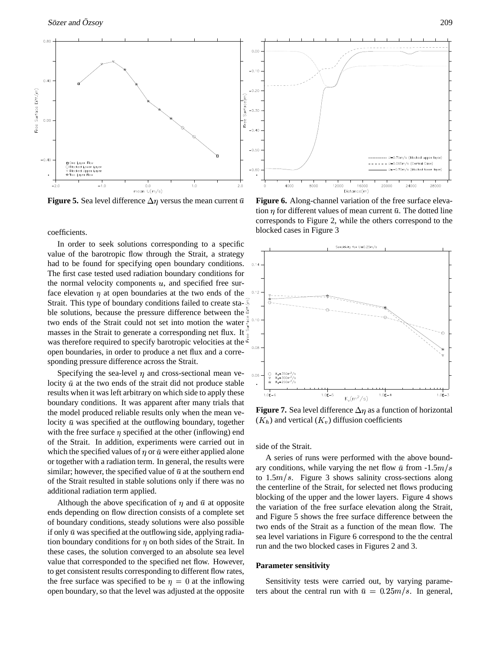

**Figure 5.** Sea level difference  $\Delta \eta$  versus the mean current  $\bar{u}$ 

coefficients.

In order to seek solutions corresponding to a specific value of the barotropic flow through the Strait, a strategy had to be found for specifying open boundary conditions. The first case tested used radiation boundary conditions for the normal velocity components  $u$ , and specified free surface elevation  $\eta$  at open boundaries at the two ends of the Strait. This type of boundary conditions failed to create stable solutions, because the pressure difference between the two ends of the Strait could not set into motion the water  $\frac{8}{5}$ <sup>0.10</sup> masses in the Strait to generate a corresponding net flux. It was therefore required to specify barotropic velocities at the open boundaries, in order to produce a net flux and a corresponding pressure difference across the Strait.

Specifying the sea-level  $\eta$  and cross-sectional mean velocity  $\bar{u}$  at the two ends of the strait did not produce stable results when it was left arbitrary on which side to apply these boundary conditions. It was apparent after many trials that the model produced reliable results only when the mean velocity  $\bar{u}$  was specified at the outflowing boundary, together with the free surface  $\eta$  specified at the other (inflowing) end of the Strait. In addition, experiments were carried out in which the specified values of  $\eta$  or  $\bar{u}$  were either applied alone or together with a radiation term. In general, the results were similar; however, the specified value of  $\bar{u}$  at the southern end of the Strait resulted in stable solutions only if there was no additional radiation term applied.

Although the above specification of  $\eta$  and  $\bar{u}$  at opposite ends depending on flow direction consists of a complete set of boundary conditions, steady solutions were also possible if only  $\bar{u}$  was specified at the outflowing side, applying radiation boundary conditions for  $\eta$  on both sides of the Strait. In these cases, the solution converged to an absolute sea level value that corresponded to the specified net flow. However, to get consistent results corresponding to different flow rates, the free surface was specified to be  $\eta=0$  at the inflowing open boundary, so that the level was adjusted at the opposite



**Figure 6.** Along-channel variation of the free surface elevation  $\eta$  for different values of mean current  $\bar{u}$ . The dotted line corresponds to Figure 2, while the others correspond to the blocked cases in Figure 3



**Figure 7.** Sea level difference  $\Delta \eta$  as a function of horizontal  $(K_h)$  and vertical  $(K_v)$  diffusion coefficients

side of the Strait.

A series of runs were performed with the above boundary conditions, while varying the net flow  $\bar{u}$  from -1.5 $m/s$ to  $1.5m/s$ . Figure 3 shows salinity cross-sections along the centerline of the Strait, for selected net flows producing blocking of the upper and the lower layers. Figure 4 shows the variation of the free surface elevation along the Strait, and Figure 5 shows the free surface difference between the two ends of the Strait as a function of the mean flow. The sea level variations in Figure 6 correspond to the the central run and the two blocked cases in Figures 2 and 3.

#### **Parameter sensitivity**

Sensitivity tests were carried out, by varying parameters about the central run with  $\bar{u} = 0.25m/s$ . In general,